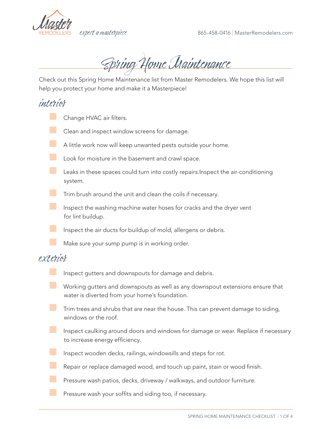

Spring Home Maintenance

Check out this Spring Home Maintenance list from Master Remodelers. We hope this list will help you protect your home and make it a Masterpiece!

## interior

- Change HVAC air filters.
- **EXEC** Clean and inspect window screens for damage.
- A little work now will keep unwanted pests outside your home.
- Look for moisture in the basement and crawl space.
	- Leaks in these spaces could turn into costly repairs.Inspect the air-conditioning system.
- **The Trim brush around the unit and clean the coils if necessary.** 
	- Inspect the washing machine water hoses for cracks and the dryer vent for lint buildup.
	- Inspect the air ducts for buildup of mold, allergens or debris.
		- Make sure your sump pump is in working order.

## exterior

- Inspect gutters and downspouts for damage and debris.
- Working gutters and downspouts as well as any downspout extensions ensure that water is diverted from your home's foundation.
- **The Trim trees and shrubs that are near the house.** This can prevent damage to siding, windows or the roof.
- **THE Inspect caulking around doors and windows for damage or wear. Replace if necessary** to increase energy efficiency.
	- Inspect wooden decks, railings, windowsills and steps for rot.
	- Repair or replace damaged wood, and touch up paint, stain or wood finish.
	- Pressure wash patios, decks, driveway / walkways, and outdoor furniture.
	- Pressure wash your soffits and siding too, if necessary.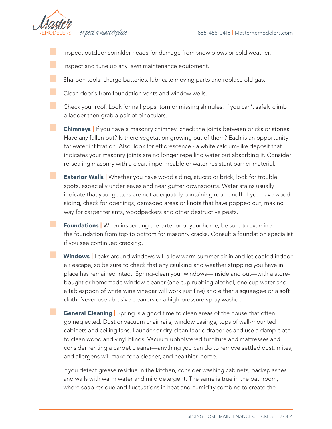

- Inspect outdoor sprinkler heads for damage from snow plows or cold weather.
- Inspect and tune up any lawn maintenance equipment.
- Sharpen tools, charge batteries, lubricate moving parts and replace old gas.
- Clean debris from foundation vents and window wells.
- Check your roof. Look for nail pops, torn or missing shingles. If you can't safely climb a ladder then grab a pair of binoculars.
	- **Chimneys** If you have a masonry chimney, check the joints between bricks or stones. Have any fallen out? Is there vegetation growing out of them? Each is an opportunity for water infiltration. Also, look for efflorescence - a white calcium-like deposit that indicates your masonry joints are no longer repelling water but absorbing it. Consider re-sealing masonry with a clear, impermeable or water-resistant barrier material.
- **Exterior Walls** | Whether you have wood siding, stucco or brick, look for trouble spots, especially under eaves and near gutter downspouts. Water stains usually indicate that your gutters are not adequately containing roof runoff. If you have wood siding, check for openings, damaged areas or knots that have popped out, making way for carpenter ants, woodpeckers and other destructive pests.
	- **Foundations** When inspecting the exterior of your home, be sure to examine the foundation from top to bottom for masonry cracks. Consult a foundation specialist if you see continued cracking.
	- Windows | Leaks around windows will allow warm summer air in and let cooled indoor air escape, so be sure to check that any caulking and weather stripping you have in place has remained intact. Spring-clean your windows—inside and out—with a storebought or homemade window cleaner (one cup rubbing alcohol, one cup water and a tablespoon of white wine vinegar will work just fine) and either a squeegee or a soft cloth. Never use abrasive cleaners or a high-pressure spray washer.
	- General Cleaning | Spring is a good time to clean areas of the house that often go neglected. Dust or vacuum chair rails, window casings, tops of wall-mounted cabinets and ceiling fans. Launder or dry-clean fabric draperies and use a damp cloth to clean wood and vinyl blinds. Vacuum upholstered furniture and mattresses and consider renting a carpet cleaner—anything you can do to remove settled dust, mites, and allergens will make for a cleaner, and healthier, home.
	- If you detect grease residue in the kitchen, consider washing cabinets, backsplashes and walls with warm water and mild detergent. The same is true in the bathroom, where soap residue and fluctuations in heat and humidity combine to create the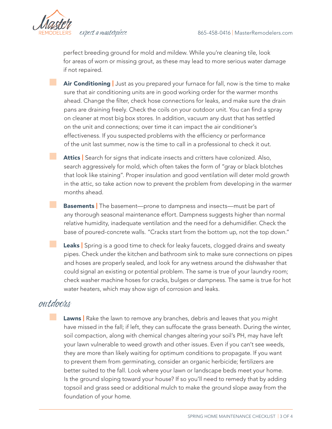

perfect breeding ground for mold and mildew. While you're cleaning tile, look for areas of worn or missing grout, as these may lead to more serious water damage if not repaired.

Air Conditioning | Just as you prepared your furnace for fall, now is the time to make sure that air conditioning units are in good working order for the warmer months ahead. Change the filter, check hose connections for leaks, and make sure the drain pans are draining freely. Check the coils on your outdoor unit. You can find a spray on cleaner at most big box stores. In addition, vacuum any dust that has settled on the unit and connections; over time it can impact the air conditioner's effectiveness. If you suspected problems with the efficiency or performance of the unit last summer, now is the time to call in a professional to check it out.

Attics | Search for signs that indicate insects and critters have colonized. Also, search aggressively for mold, which often takes the form of "gray or black blotches that look like staining". Proper insulation and good ventilation will deter mold growth in the attic, so take action now to prevent the problem from developing in the warmer months ahead.

**Basements** | The basement—prone to dampness and insects—must be part of any thorough seasonal maintenance effort. Dampness suggests higher than normal relative humidity, inadequate ventilation and the need for a dehumidifier. Check the base of poured-concrete walls. "Cracks start from the bottom up, not the top down."

Leaks | Spring is a good time to check for leaky faucets, clogged drains and sweaty pipes. Check under the kitchen and bathroom sink to make sure connections on pipes and hoses are properly sealed, and look for any wetness around the dishwasher that could signal an existing or potential problem. The same is true of your laundry room; check washer machine hoses for cracks, bulges or dampness. The same is true for hot water heaters, which may show sign of corrosion and leaks.

## outdoors

Lawns | Rake the lawn to remove any branches, debris and leaves that you might have missed in the fall; if left, they can suffocate the grass beneath. During the winter, soil compaction, along with chemical changes altering your soil's PH, may have left your lawn vulnerable to weed growth and other issues. Even if you can't see weeds, they are more than likely waiting for optimum conditions to propagate. If you want to prevent them from germinating, consider an organic herbicide; fertilizers are better suited to the fall. Look where your lawn or landscape beds meet your home. Is the ground sloping toward your house? If so you'll need to remedy that by adding topsoil and grass seed or additional mulch to make the ground slope away from the foundation of your home.